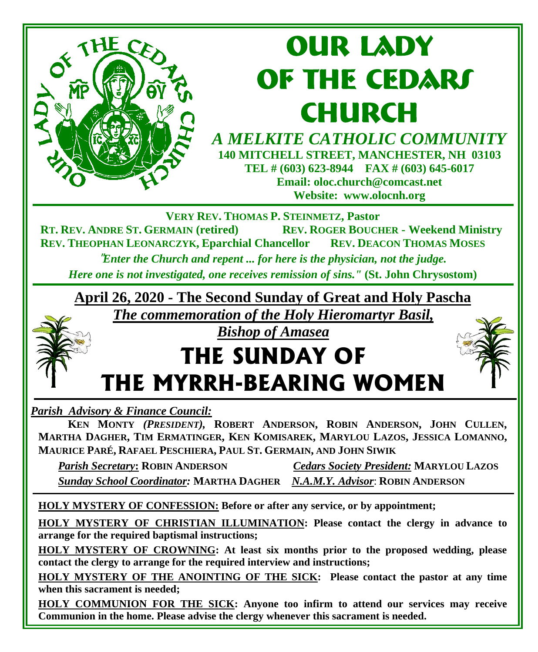

## **our lady OF THE CEDARS CHURCH**

*A MELKITE CATHOLIC COMMUNITY*  **140 MITCHELL STREET, MANCHESTER, NH 03103 TEL # (603) 623-8944 FAX # (603) 645-6017 Email: oloc.church@comcast.net Website: www.olocnh.org**

**VERY REV. THOMAS P. STEINMETZ, Pastor**

**REV. ROGER BOUCHER - Weekend Ministry REV. THEOPHAN LEONARCZYK, Eparchial Chancellor REV. DEACON THOMAS MOSES**

"*Enter the Church and repent ... for here is the physician, not the judge. Here one is not investigated, one receives remission of sins."* **(St. John Chrysostom)**

**April 26, 2020 - The Second Sunday of Great and Holy Pascha**

*The commemoration of the Holy Hieromartyr Basil,* 

#### *Bishop of Amasea*

## **THE SUNDAY OF THE MYRRH-BEARING WOMEN**

*Parish Advisory & Finance Council:* 

 **KEN MONTY** *(PRESIDENT),* **ROBERT ANDERSON, ROBIN ANDERSON, JOHN CULLEN, MARTHA DAGHER, TIM ERMATINGER, KEN KOMISAREK, MARYLOU LAZOS, JESSICA LOMANNO, MAURICE PARÉ, RAFAEL PESCHIERA, PAUL ST. GERMAIN, AND JOHN SIWIK** 

 *Parish Secretary***: ROBIN ANDERSON** *Cedars Society President:* **MARYLOU LAZOS**  *Sunday School Coordinator:* **MARTHA DAGHER** *N.A.M.Y. Advisor*: **ROBIN ANDERSON**

**HOLY MYSTERY OF CONFESSION: Before or after any service, or by appointment;**

**HOLY MYSTERY OF CHRISTIAN ILLUMINATION: Please contact the clergy in advance to arrange for the required baptismal instructions;**

**HOLY MYSTERY OF CROWNING: At least six months prior to the proposed wedding, please contact the clergy to arrange for the required interview and instructions;**

**HOLY MYSTERY OF THE ANOINTING OF THE SICK: Please contact the pastor at any time when this sacrament is needed;**

**HOLY COMMUNION FOR THE SICK: Anyone too infirm to attend our services may receive Communion in the home. Please advise the clergy whenever this sacrament is needed.**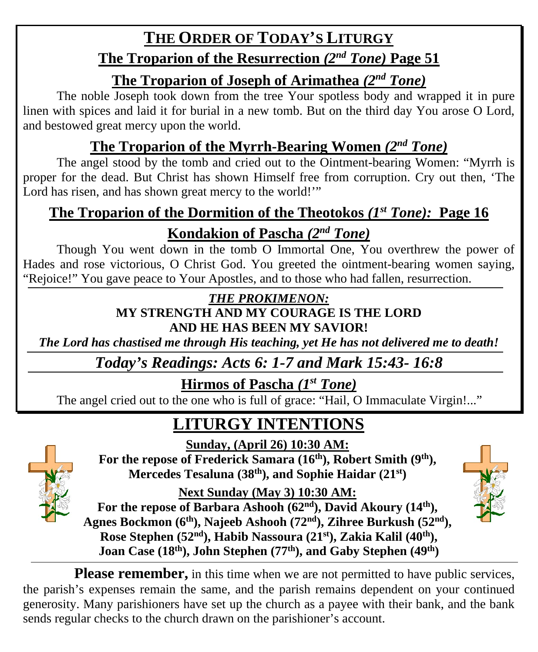## **THE ORDER OF TODAY'S LITURGY**

#### **The Troparion of the Resurrection** *(2nd Tone)* **Page 51**

#### **The Troparion of Joseph of Arimathea** *(2nd Tone)*

The noble Joseph took down from the tree Your spotless body and wrapped it in pure linen with spices and laid it for burial in a new tomb. But on the third day You arose O Lord, and bestowed great mercy upon the world.

### **The Troparion of the Myrrh-Bearing Women** *(2nd Tone)*

The angel stood by the tomb and cried out to the Ointment-bearing Women: "Myrrh is proper for the dead. But Christ has shown Himself free from corruption. Cry out then, 'The Lord has risen, and has shown great mercy to the world!"

#### **The Troparion of the Dormition of the Theotokos** *(1st Tone):* **Page 16 Kondakion of Pascha** *(2nd Tone)*

Though You went down in the tomb O Immortal One, You overthrew the power of Hades and rose victorious, O Christ God. You greeted the ointment-bearing women saying, "Rejoice!" You gave peace to Your Apostles, and to those who had fallen, resurrection.

#### *THE PROKIMENON:*

#### **MY STRENGTH AND MY COURAGE IS THE LORD AND HE HAS BEEN MY SAVIOR!**

*The Lord has chastised me through His teaching, yet He has not delivered me to death!*

*Today's Readings: Acts 6: 1-7 and Mark 15:43- 16:8*

#### **Hirmos of Pascha** *(1st Tone)*

The angel cried out to the one who is full of grace: "Hail, O Immaculate Virgin!..."

## **LITURGY INTENTIONS**

**Sunday, (April 26) 10:30 AM:**



For the repose of Frederick Samara (16<sup>th</sup>), Robert Smith (9<sup>th</sup>), **Mercedes Tesaluna (38th), and Sophie Haidar (21st)**

**Next Sunday (May 3) 10:30 AM:**

For the repose of Barbara Ashooh (62<sup>nd</sup>), David Akoury (14<sup>th</sup>), **Agnes Bockmon (6th), Najeeb Ashooh (72nd), Zihree Burkush (52nd), Rose Stephen (52nd), Habib Nassoura (21st), Zakia Kalil (40th), Joan Case (18th), John Stephen (77th), and Gaby Stephen (49th)**



**Please remember,** in this time when we are not permitted to have public services, the parish's expenses remain the same, and the parish remains dependent on your continued generosity. Many parishioners have set up the church as a payee with their bank, and the bank sends regular checks to the church drawn on the parishioner's account.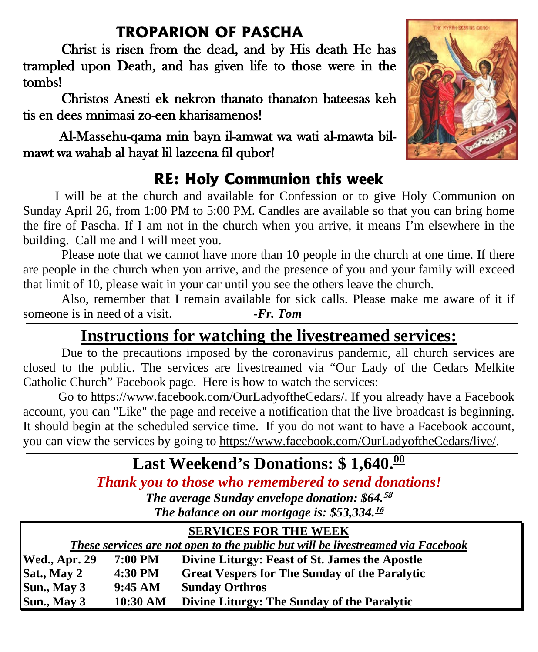### **TROPARION OF PASCHA**

Christ is risen from the dead, and by His death He has trampled upon Death, and has given life to those were in the tombs!

 Christos Anesti ek nekron thanato thanaton bateesas keh tis en dees mnimasi zo-een kharisamenos!

 Al-Massehu-qama min bayn il-amwat wa wati al-mawta bilmawt wa wahab al hayat lil lazeena fil qubor!

## **RE: Holy Communion this week**

 I will be at the church and available for Confession or to give Holy Communion on Sunday April 26, from 1:00 PM to 5:00 PM. Candles are available so that you can bring home the fire of Pascha. If I am not in the church when you arrive, it means I'm elsewhere in the building. Call me and I will meet you.

Please note that we cannot have more than 10 people in the church at one time. If there are people in the church when you arrive, and the presence of you and your family will exceed that limit of 10, please wait in your car until you see the others leave the church.

Also, remember that I remain available for sick calls. Please make me aware of it if someone is in need of a visit. *-Fr. Tom*

## **Instructions for watching the livestreamed services:**

Due to the precautions imposed by the coronavirus pandemic, all church services are closed to the public. The services are livestreamed via "Our Lady of the Cedars Melkite Catholic Church" Facebook page. Here is how to watch the services:

 Go to [https://www.facebook.com/OurLadyoftheCedars/.](https://www.facebook.com/OurLadyoftheCedars/) If you already have a Facebook account, you can "Like" the page and receive a notification that the live broadcast is beginning. It should begin at the scheduled service time. If you do not want to have a Facebook account, you can view the services by going to [https://www.facebook.com/OurLadyoftheCedars/live/.](https://www.facebook.com/OurLadyoftheCedars/live/)

## Last Weekend's Donations: \$1,640.<sup>00</sup>

*Thank you to those who remembered to send donations!* 

*The average Sunday envelope donation: \$64.* **58** *The balance on our mortgage is: \$53,334.* **16**

| <b>SERVICES FOR THE WEEK</b>                                                    |                |                                                      |
|---------------------------------------------------------------------------------|----------------|------------------------------------------------------|
| These services are not open to the public but will be livestreamed via Facebook |                |                                                      |
| Wed., Apr. 29                                                                   | <b>7:00 PM</b> | Divine Liturgy: Feast of St. James the Apostle       |
| Sat., May 2                                                                     | 4:30 PM        | <b>Great Vespers for The Sunday of the Paralytic</b> |
| Sun., May 3                                                                     | 9:45 AM        | <b>Sunday Orthros</b>                                |
| Sun., May 3                                                                     | 10:30 AM       | Divine Liturgy: The Sunday of the Paralytic          |

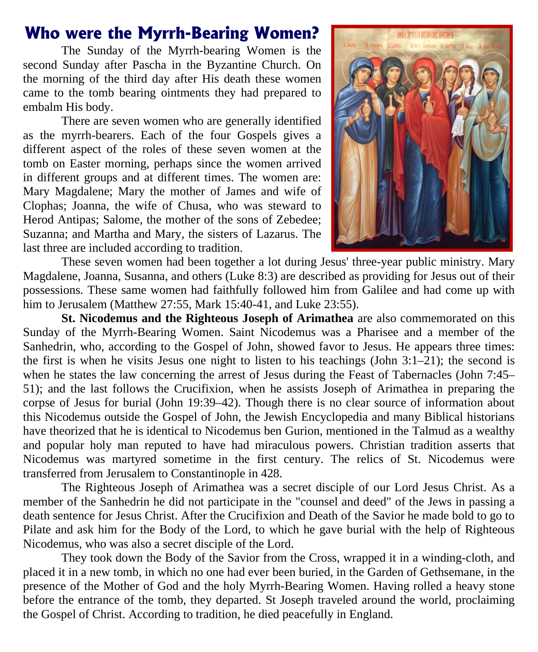#### **Who were the Myrrh-Bearing Women?**

The Sunday of the Myrrh-bearing Women is the second Sunday after Pascha in the Byzantine Church. On the morning of the third day after His death these women came to the tomb bearing ointments they had prepared to embalm His body.

There are seven women who are generally identified as the myrrh-bearers. Each of the four Gospels gives a different aspect of the roles of these seven women at the tomb on Easter morning, perhaps since the women arrived in different groups and at different times. The women are: Mary Magdalene; Mary the mother of James and wife of Clophas; Joanna, the wife of Chusa, who was steward to Herod Antipas; Salome, the mother of the sons of Zebedee; Suzanna; and Martha and Mary, the sisters of Lazarus. The last three are included according to tradition.



These seven women had been together a lot during Jesus' three-year public ministry. Mary Magdalene, Joanna, Susanna, and others (Luke 8:3) are described as providing for Jesus out of their possessions. These same women had faithfully followed him from Galilee and had come up with him to Jerusalem (Matthew 27:55, Mark 15:40-41, and Luke 23:55).

**St. Nicodemus and the Righteous Joseph of Arimathea** are also commemorated on this Sunday of the Myrrh-Bearing Women. Saint Nicodemus was a Pharisee and a member of the Sanhedrin, who, according to the Gospel of John, showed favor to Jesus. He appears three times: the first is when he visits Jesus one night to listen to his teachings (John 3:1–21); the second is when he states the law concerning the arrest of Jesus during the Feast of Tabernacles (John 7:45– 51); and the last follows the Crucifixion, when he assists Joseph of Arimathea in preparing the corpse of Jesus for burial (John 19:39–42). Though there is no clear source of information about this Nicodemus outside the Gospel of John, the Jewish Encyclopedia and many Biblical historians have theorized that he is identical to Nicodemus ben Gurion, mentioned in the Talmud as a wealthy and popular holy man reputed to have had miraculous powers. Christian tradition asserts that Nicodemus was martyred sometime in the first century. The relics of St. Nicodemus were transferred from Jerusalem to Constantinople in 428.

The Righteous Joseph of Arimathea was a secret disciple of our Lord Jesus Christ. As a member of the Sanhedrin he did not participate in the "counsel and deed" of the Jews in passing a death sentence for Jesus Christ. After the Crucifixion and Death of the Savior he made bold to go to Pilate and ask him for the Body of the Lord, to which he gave burial with the help of Righteous Nicodemus, who was also a secret disciple of the Lord.

They took down the Body of the Savior from the Cross, wrapped it in a winding-cloth, and placed it in a new tomb, in which no one had ever been buried, in the Garden of Gethsemane, in the presence of the Mother of God and the holy Myrrh-Bearing Women. Having rolled a heavy stone before the entrance of the tomb, they departed. St Joseph traveled around the world, proclaiming the Gospel of Christ. According to tradition, he died peacefully in England.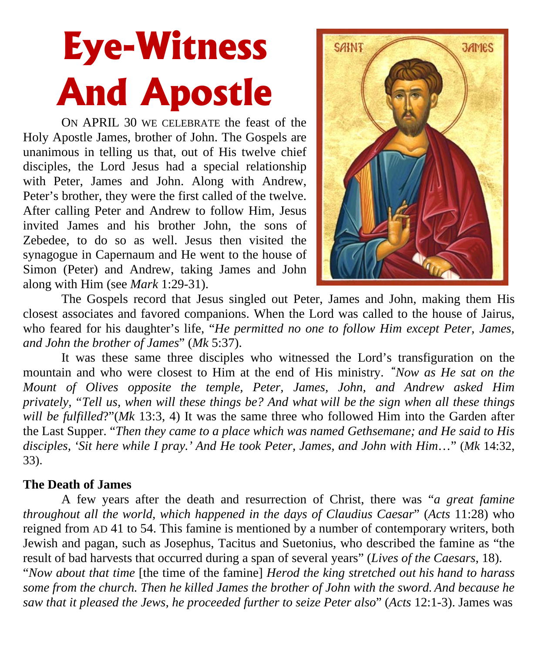# **Eye-Witness And Apostle**

ON APRIL 30 WE CELEBRATE the feast of the Holy Apostle James, brother of John. The Gospels are unanimous in telling us that, out of His twelve chief disciples, the Lord Jesus had a special relationship with Peter, James and John. Along with Andrew, Peter's brother, they were the first called of the twelve. After calling Peter and Andrew to follow Him, Jesus invited James and his brother John, the sons of Zebedee, to do so as well. Jesus then visited the synagogue in Capernaum and He went to the house of Simon (Peter) and Andrew, taking James and John along with Him (see *Mark* 1:29-31).



The Gospels record that Jesus singled out Peter, James and John, making them His closest associates and favored companions. When the Lord was called to the house of Jairus, who feared for his daughter's life, "*He permitted no one to follow Him except Peter, James, and John the brother of James*" (*Mk* 5:37).

It was these same three disciples who witnessed the Lord's transfiguration on the mountain and who were closest to Him at the end of His ministry. **"***Now as He sat on the Mount of Olives opposite the temple, Peter, James, John, and Andrew asked Him privately, "Tell us, when will these things be? And what will be the sign when all these things will be fulfilled*?"(*Mk* 13:3, 4) It was the same three who followed Him into the Garden after the Last Supper. "*Then they came to a place which was named Gethsemane; and He said to His disciples, 'Sit here while I pray.' And He took Peter, James, and John with Him*…" (*Mk* 14:32, 33).

#### **The Death of James**

A few years after the death and resurrection of Christ, there was "*a great famine throughout all the world, which happened in the days of Claudius Caesar*" (*Acts* 11:28) who reigned from AD 41 to 54. This famine is mentioned by a number of contemporary writers, both Jewish and pagan, such as Josephus, Tacitus and Suetonius, who described the famine as "the result of bad harvests that occurred during a span of several years" (*Lives of the Caesars*, 18). "*Now about that time* [the time of the famine] *Herod the king stretched out his hand to harass some from the church. Then he killed James the brother of John with the sword. And because he* 

*saw that it pleased the Jews, he proceeded further to seize Peter also*" (*Acts* 12:1-3). James was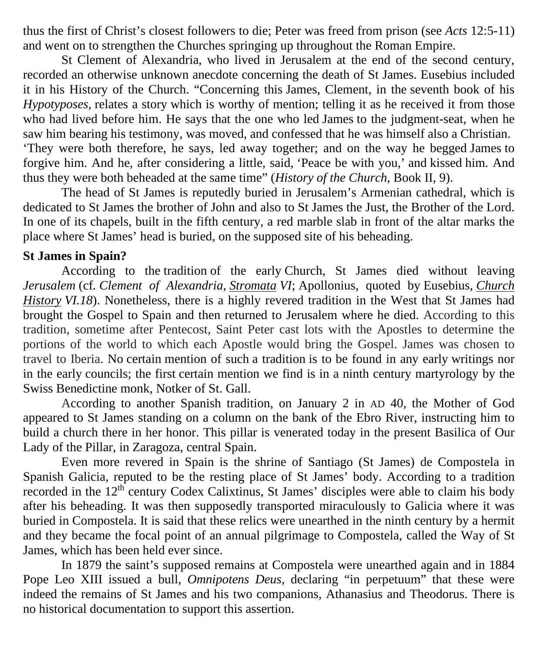thus the first of Christ's closest followers to die; Peter was freed from prison (see *Acts* 12:5-11) and went on to strengthen the Churches springing up throughout the Roman Empire.

St Clement of Alexandria, who lived in Jerusalem at the end of the second century, recorded an otherwise unknown anecdote concerning the death of St James. Eusebius included it in his History of the Church. "Concerning this James, Clement, in the seventh book of his *Hypotyposes*, relates a story which is worthy of mention; telling it as he received it from those who had lived before him. He says that the one who led James to the judgment-seat, when he saw him bearing his testimony, was moved, and confessed that he was himself also a Christian. 'They were both therefore, he says, led away together; and on the way he begged James to forgive him. And he, after considering a little, said, 'Peace be with you,' and kissed him. And thus they were both beheaded at the same time" (*History of the Church*, Book II, 9).

The head of St James is reputedly buried in Jerusalem's Armenian cathedral, which is dedicated to St James the brother of John and also to St James the Just, the Brother of the Lord. In one of its chapels, built in the fifth century, a red marble slab in front of the altar marks the place where St James' head is buried, on the supposed site of his beheading.

#### **St James in Spain?**

According to the tradition of the early Church, St James died without leaving *[Jerusalem](http://www.newadvent.org/cathen/08344a.htm)* (cf*. [Clement of Alexandria](http://www.newadvent.org/cathen/04045a.htm)*, *[Stromata](http://www.newadvent.org/fathers/02106.htm) VI*; Apollonius, quoted by Eusebius, *[Church](http://www.newadvent.org/fathers/250106.htm)  [History](http://www.newadvent.org/fathers/250106.htm) VI.18*). Nonetheless, there is a highly revered tradition in the West that St James had brought the Gospel to Spain and then returned to Jerusalem where he died. According to this tradition, sometime after Pentecost, Saint Peter cast lots with the Apostles to determine the portions of the world to which each Apostle would bring the Gospel. James was chosen to travel to Iberia. No certain mention of such a tradition is to be found in any early writings nor in the early councils; the first certain mention we find is in a ninth century martyrology by the Swiss Benedictine monk, [Notker](http://www.newadvent.org/cathen/11125b.htm) of St. Gall.

According to another Spanish tradition, on January 2 in AD 40, the Mother of God appeared to St James standing on a column on the bank of the Ebro River, instructing him to build a church there in her honor. This pillar is venerated today in the present Basilica of Our Lady of the Pillar, in Zaragoza, central Spain.

Even more revered in Spain is the shrine of Santiago (St James) de Compostela in Spanish Galicia, reputed to be the resting place of St James' body. According to a tradition recorded in the  $12<sup>th</sup>$  century Codex Calixtinus, St James' disciples were able to claim his body after his beheading. It was then supposedly transported miraculously to Galicia where it was buried in Compostela. It is said that these relics were unearthed in the ninth century by a hermit and they became the focal point of an annual pilgrimage to Compostela, called the Way of St James, which has been held ever since.

In 1879 the saint's supposed remains at Compostela were unearthed again and in 1884 Pope Leo XIII issued a bull, *Omnipotens Deus*, declaring "in perpetuum" that these were indeed the remains of St James and his two companions, Athanasius and Theodorus. There is no historical documentation to support this assertion.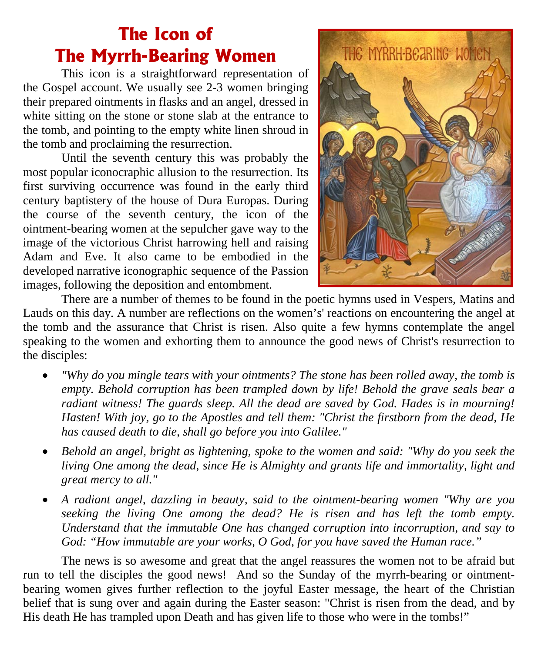## **The Icon of The Myrrh-Bearing Women**

This icon is a straightforward representation of the Gospel account. We usually see 2-3 women bringing their prepared ointments in flasks and an angel, dressed in white sitting on the stone or stone slab at the entrance to the tomb, and pointing to the empty white linen shroud in the tomb and proclaiming the resurrection.

Until the seventh century this was probably the most popular iconocraphic allusion to the resurrection. Its first surviving occurrence was found in the early third century baptistery of the house of Dura Europas. During the course of the seventh century, the icon of the ointment-bearing women at the sepulcher gave way to the image of the victorious Christ harrowing hell and raising Adam and Eve. It also came to be embodied in the developed narrative iconographic sequence of the Passion images, following the deposition and entombment.



There are a number of themes to be found in the poetic hymns used in Vespers, Matins and Lauds on this day. A number are reflections on the women's' reactions on encountering the angel at the tomb and the assurance that Christ is risen. Also quite a few hymns contemplate the angel speaking to the women and exhorting them to announce the good news of Christ's resurrection to the disciples:

- *"Why do you mingle tears with your ointments? The stone has been rolled away, the tomb is empty. Behold corruption has been trampled down by life! Behold the grave seals bear a radiant witness! The guards sleep. All the dead are saved by God. Hades is in mourning! Hasten! With joy, go to the Apostles and tell them: "Christ the firstborn from the dead, He has caused death to die, shall go before you into Galilee."*
- *Behold an angel, bright as lightening, spoke to the women and said: "Why do you seek the living One among the dead, since He is Almighty and grants life and immortality, light and great mercy to all."*
- *A radiant angel, dazzling in beauty, said to the ointment-bearing women "Why are you seeking the living One among the dead? He is risen and has left the tomb empty. Understand that the immutable One has changed corruption into incorruption, and say to God: "How immutable are your works, O God, for you have saved the Human race."*

The news is so awesome and great that the angel reassures the women not to be afraid but run to tell the disciples the good news! And so the Sunday of the myrrh-bearing or ointmentbearing women gives further reflection to the joyful Easter message, the heart of the Christian belief that is sung over and again during the Easter season: "Christ is risen from the dead, and by His death He has trampled upon Death and has given life to those who were in the tombs!"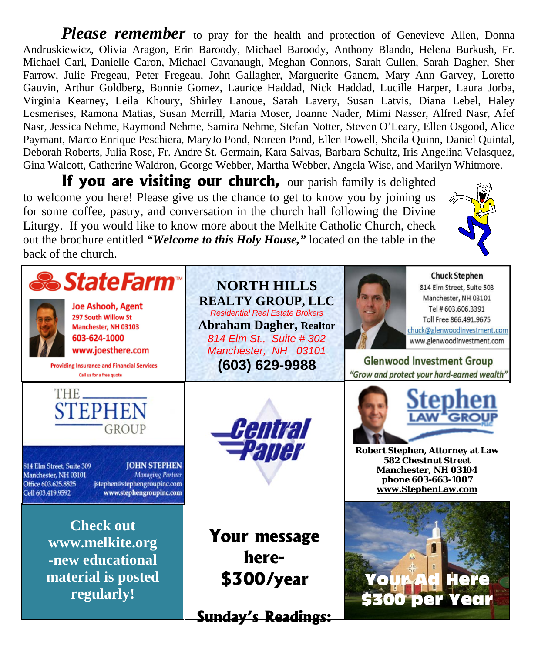*Please remember* to pray for the health and protection of Genevieve Allen, Donna Andruskiewicz, Olivia Aragon, Erin Baroody, Michael Baroody, Anthony Blando, Helena Burkush, Fr. Michael Carl, Danielle Caron, Michael Cavanaugh, Meghan Connors, Sarah Cullen, Sarah Dagher, Sher Farrow, Julie Fregeau, Peter Fregeau, John Gallagher, Marguerite Ganem, Mary Ann Garvey, Loretto Gauvin, Arthur Goldberg, Bonnie Gomez, Laurice Haddad, Nick Haddad, Lucille Harper, Laura Jorba, Virginia Kearney, Leila Khoury, Shirley Lanoue, Sarah Lavery, Susan Latvis, Diana Lebel, Haley Lesmerises, Ramona Matias, Susan Merrill, Maria Moser, Joanne Nader, Mimi Nasser, Alfred Nasr, Afef Nasr, Jessica Nehme, Raymond Nehme, Samira Nehme, Stefan Notter, Steven O'Leary, Ellen Osgood, Alice Paymant, Marco Enrique Peschiera, MaryJo Pond, Noreen Pond, Ellen Powell, Sheila Quinn, Daniel Quintal, Deborah Roberts, Julia Rose, Fr. Andre St. Germain, Kara Salvas, Barbara Schultz, Iris Angelina Velasquez, Gina Walcott, Catherine Waldron, George Webber, Martha Webber, Angela Wise, and Marilyn Whitmore.

**If you are visiting our church,** our parish family is delighted to welcome you here! Please give us the chance to get to know you by joining us for some coffee, pastry, and conversation in the church hall following the Divine Liturgy. If you would like to know more about the Melkite Catholic Church, check out the brochure entitled *"Welcome to this Holy House,"* located on the table in the back of the church.

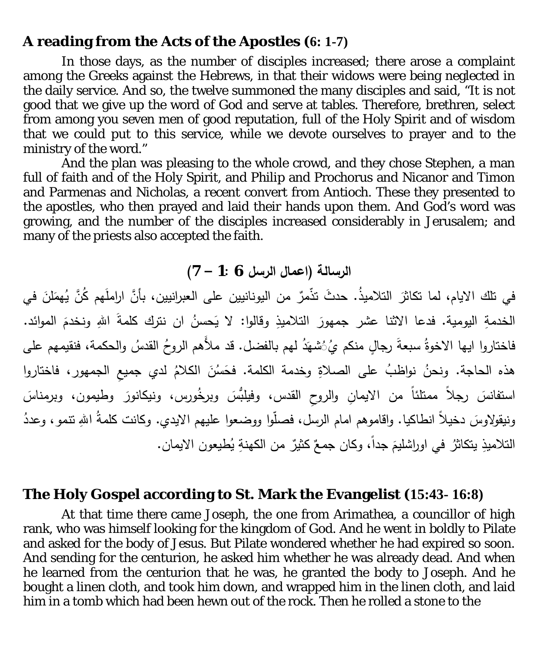#### **A reading from the Acts of the Apostles (6: 1-7)**

In those days, as the number of disciples increased; there arose a complaint among the Greeks against the Hebrews, in that their widows were being neglected in the daily service. And so, the twelve summoned the many disciples and said, "It is not good that we give up the word of God and serve at tables. Therefore, brethren, select from among you seven men of good reputation, full of the Holy Spirit and of wisdom that we could put to this service, while we devote ourselves to prayer and to the ministry of the word."

And the plan was pleasing to the whole crowd, and they chose Stephen, a man full of faith and of the Holy Spirit, and Philip and Prochorus and Nicanor and Timon and Parmenas and Nicholas, a recent convert from Antioch. These they presented to the apostles, who then prayed and laid their hands upon them. And God's word was growing, and the number of the disciples increased considerably in Jerusalem; and many of the priests also accepted the faith.

#### **الرسالة (اعمال الرسل 6 1: – 7)**

في تلك الايام، لما تكاثرَ التلاميذُ. حدثُ تذمرٌ من اليونانيين على العبرانيين، بأنَّ اراملُهم كُنَّ يُهمَلْنَ في الخدمةِ اليومية. فدعا الاثنا عشر جمهورَ التلاميذِ وقالوا: لا يَحسنُ ان نترك كلمةَ اللهِ ونخدمَ الموائد. فاختاروا ايها الاخوةُ سبعةَ رجالٍ منكم يُ ُشهَدُ لهم بالفضل. قد ملأَهم الروحُ القدسُ والحكمة، فنقيمهم على هذه الحاجة. ونحنُ نواظبُ على الصلاةِ وخدمة الكلمة. فحَسُنَ الكلامُ لدي جميعِ الجمهورِ، فاختاروا استفانسَ رجلاً ممتلئاً من الايمانِ والروحِ القدس، وفيلبُسَ وبرخُورس، ونيكانورَ وطيمون، وبرمناسَ ونيقولاوسَ دخيلاً انطاكيا. واقاموهم امام الرسل، فصلُّوا ووضعوا عليهم الايدي. وكانت كلمةُ اللهِ تنمو، وعددُ التلاميذِ يتكاثرُ في اوراشليمَ جداً، وكان جمعٌ كثيرٌ من الكهنةِ يُطيعون الايمان.

#### **The Holy Gospel according to St. Mark the Evangelist (15:43- 16:8)**

At that time there came Joseph, the one from Arimathea, a councillor of high rank, who was himself looking for the kingdom of God. And he went in boldly to Pilate and asked for the body of Jesus. But Pilate wondered whether he had expired so soon. And sending for the centurion, he asked him whether he was already dead. And when he learned from the centurion that he was, he granted the body to Joseph. And he bought a linen cloth, and took him down, and wrapped him in the linen cloth, and laid him in a tomb which had been hewn out of the rock. Then he rolled a stone to the